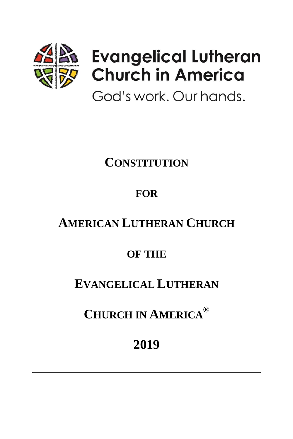

# **Evangelical Lutheran Church in America**

God's work. Our hands.

### **CONSTITUTION**

### **FOR**

### **AMERICAN LUTHERAN CHURCH**

### **OF THE**

### **EVANGELICAL LUTHERAN**

## **CHURCH IN AMERICA®**

### **2019**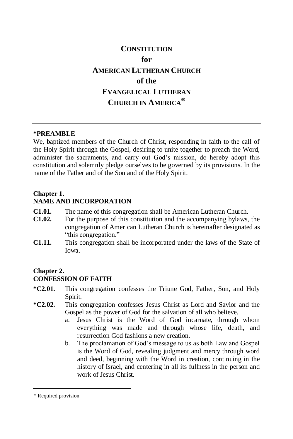### **CONSTITUTION for AMERICAN LUTHERAN CHURCH of the EVANGELICAL LUTHERAN CHURCH IN AMERICA®**

#### **\*PREAMBLE**\*

We, baptized members of the Church of Christ, responding in faith to the call of the Holy Spirit through the Gospel, desiring to unite together to preach the Word, administer the sacraments, and carry out God's mission, do hereby adopt this constitution and solemnly pledge ourselves to be governed by its provisions. In the name of the Father and of the Son and of the Holy Spirit.

#### **Chapter 1.**

#### **NAME AND INCORPORATION**

- **C1.01.** The name of this congregation shall be American Lutheran Church.
- **C1.02.** For the purpose of this constitution and the accompanying bylaws, the congregation of American Lutheran Church is hereinafter designated as "this congregation."
- **C1.11.** This congregation shall be incorporated under the laws of the State of Iowa.

#### **Chapter 2.**

#### **CONFESSION OF FAITH**

- **\*C2.01.** This congregation confesses the Triune God, Father, Son, and Holy Spirit.
- **\*C2.02.** This congregation confesses Jesus Christ as Lord and Savior and the Gospel as the power of God for the salvation of all who believe.
	- a. Jesus Christ is the Word of God incarnate, through whom everything was made and through whose life, death, and resurrection God fashions a new creation.
	- b. The proclamation of God's message to us as both Law and Gospel is the Word of God, revealing judgment and mercy through word and deed, beginning with the Word in creation, continuing in the history of Israel, and centering in all its fullness in the person and work of Jesus Christ.

 $\overline{a}$ 

<sup>\*</sup> Required provision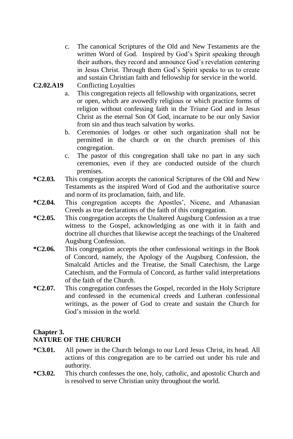- c. The canonical Scriptures of the Old and New Testaments are the written Word of God. Inspired by God's Spirit speaking through their authors, they record and announce God's revelation centering in Jesus Christ. Through them God's Spirit speaks to us to create and sustain Christian faith and fellowship for service in the world.
- **C2.02.A19** Conflicting Loyalties
	- a. This congregation rejects all fellowship with organizations, secret or open, which are avowedly religious or which practice forms of religion without confessing faith in the Triune God and in Jesus Christ as the eternal Son Of God, incarnate to be our only Savior from sin and thus teach salvation by works.
	- b. Ceremonies of lodges or other such organization shall not be permitted in the church or on the church premises of this congregation.
	- c. The pastor of this congregation shall take no part in any such ceremonies, even if they are conducted outside of the church premises.
- **\*C2.03.** This congregation accepts the canonical Scriptures of the Old and New Testaments as the inspired Word of God and the authoritative source and norm of its proclamation, faith, and life.
- **\*C2.04.** This congregation accepts the Apostles', Nicene, and Athanasian Creeds as true declarations of the faith of this congregation.
- **\*C2.05.** This congregation accepts the Unaltered Augsburg Confession as a true witness to the Gospel, acknowledging as one with it in faith and doctrine all churches that likewise accept the teachings of the Unaltered Augsburg Confession.
- **\*C2.06.** This congregation accepts the other confessional writings in the Book of Concord, namely, the Apology of the Augsburg Confession, the Smalcald Articles and the Treatise, the Small Catechism, the Large Catechism, and the Formula of Concord, as further valid interpretations of the faith of the Church.
- **\*C2.07.** This congregation confesses the Gospel, recorded in the Holy Scripture and confessed in the ecumenical creeds and Lutheran confessional writings, as the power of God to create and sustain the Church for God's mission in the world.

#### **Chapter 3.**

#### **NATURE OF THE CHURCH**

- **\*C3.01.** All power in the Church belongs to our Lord Jesus Christ, its head. All actions of this congregation are to be carried out under his rule and authority.
- **\*C3.02.** This church confesses the one, holy, catholic, and apostolic Church and is resolved to serve Christian unity throughout the world.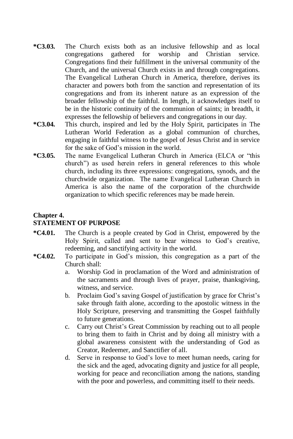- **\*C3.03.** The Church exists both as an inclusive fellowship and as local congregations gathered for worship and Christian service. Congregations find their fulfillment in the universal community of the Church, and the universal Church exists in and through congregations. The Evangelical Lutheran Church in America, therefore, derives its character and powers both from the sanction and representation of its congregations and from its inherent nature as an expression of the broader fellowship of the faithful. In length, it acknowledges itself to be in the historic continuity of the communion of saints; in breadth, it expresses the fellowship of believers and congregations in our day.
- **\*C3.04.** This church, inspired and led by the Holy Spirit, participates in The Lutheran World Federation as a global communion of churches, engaging in faithful witness to the gospel of Jesus Christ and in service for the sake of God's mission in the world.
- **\*C3.05.** The name Evangelical Lutheran Church in America (ELCA or "this church") as used herein refers in general references to this whole church, including its three expressions: congregations, synods, and the churchwide organization. The name Evangelical Lutheran Church in America is also the name of the corporation of the churchwide organization to which specific references may be made herein.

#### **Chapter 4. STATEMENT OF PURPOSE**

- **\*C4.01.** The Church is a people created by God in Christ, empowered by the Holy Spirit, called and sent to bear witness to God's creative, redeeming, and sanctifying activity in the world.
- **\*C4.02.** To participate in God's mission, this congregation as a part of the Church shall:
	- a. Worship God in proclamation of the Word and administration of the sacraments and through lives of prayer, praise, thanksgiving, witness, and service.
	- b. Proclaim God's saving Gospel of justification by grace for Christ's sake through faith alone, according to the apostolic witness in the Holy Scripture, preserving and transmitting the Gospel faithfully to future generations.
	- c. Carry out Christ's Great Commission by reaching out to all people to bring them to faith in Christ and by doing all ministry with a global awareness consistent with the understanding of God as Creator, Redeemer, and Sanctifier of all.
	- d. Serve in response to God's love to meet human needs, caring for the sick and the aged, advocating dignity and justice for all people, working for peace and reconciliation among the nations, standing with the poor and powerless, and committing itself to their needs.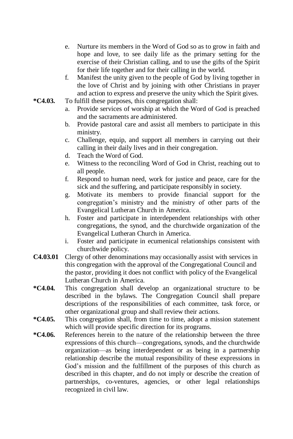- e. Nurture its members in the Word of God so as to grow in faith and hope and love, to see daily life as the primary setting for the exercise of their Christian calling, and to use the gifts of the Spirit for their life together and for their calling in the world.
- f. Manifest the unity given to the people of God by living together in the love of Christ and by joining with other Christians in prayer and action to express and preserve the unity which the Spirit gives.
- **\*C4.03.** To fulfill these purposes, this congregation shall:
	- a. Provide services of worship at which the Word of God is preached and the sacraments are administered.
	- b. Provide pastoral care and assist all members to participate in this ministry.
	- c. Challenge, equip, and support all members in carrying out their calling in their daily lives and in their congregation.
	- d. Teach the Word of God.
	- e. Witness to the reconciling Word of God in Christ, reaching out to all people.
	- f. Respond to human need, work for justice and peace, care for the sick and the suffering, and participate responsibly in society.
	- g. Motivate its members to provide financial support for the congregation's ministry and the ministry of other parts of the Evangelical Lutheran Church in America.
	- h. Foster and participate in interdependent relationships with other congregations, the synod, and the churchwide organization of the Evangelical Lutheran Church in America.
	- i. Foster and participate in ecumenical relationships consistent with churchwide policy.
- **C4.03.01** Clergy of other denominations may occasionally assist with services in this congregation with the approval of the Congregational Council and the pastor, providing it does not conflict with policy of the Evangelical Lutheran Church in America.
- **\*C4.04.** This congregation shall develop an organizational structure to be described in the bylaws. The Congregation Council shall prepare descriptions of the responsibilities of each committee, task force, or other organizational group and shall review their actions.
- **\*C4.05.** This congregation shall, from time to time, adopt a mission statement which will provide specific direction for its programs.
- **\*C4.06.** References herein to the nature of the relationship between the three expressions of this church—congregations, synods, and the churchwide organization—as being interdependent or as being in a partnership relationship describe the mutual responsibility of these expressions in God's mission and the fulfillment of the purposes of this church as described in this chapter, and do not imply or describe the creation of partnerships, co-ventures, agencies, or other legal relationships recognized in civil law.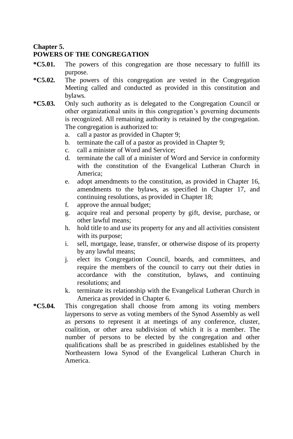**Chapter 5.**

#### **POWERS OF THE CONGREGATION**

- **\*C5.01.** The powers of this congregation are those necessary to fulfill its purpose.
- **\*C5.02.** The powers of this congregation are vested in the Congregation Meeting called and conducted as provided in this constitution and bylaws.
- **\*C5.03.** Only such authority as is delegated to the Congregation Council or other organizational units in this congregation's governing documents is recognized. All remaining authority is retained by the congregation. The congregation is authorized to:
	- a. call a pastor as provided in Chapter 9;
	- b. terminate the call of a pastor as provided in Chapter 9;
	- c. call a minister of Word and Service;
	- d. terminate the call of a minister of Word and Service in conformity with the constitution of the Evangelical Lutheran Church in America;
	- e. adopt amendments to the constitution, as provided in Chapter 16, amendments to the bylaws, as specified in Chapter 17, and continuing resolutions, as provided in Chapter 18;
	- f. approve the annual budget;
	- g. acquire real and personal property by gift, devise, purchase, or other lawful means;
	- h. hold title to and use its property for any and all activities consistent with its purpose;
	- i. sell, mortgage, lease, transfer, or otherwise dispose of its property by any lawful means;
	- j. elect its Congregation Council, boards, and committees, and require the members of the council to carry out their duties in accordance with the constitution, bylaws, and continuing resolutions; and
	- k. terminate its relationship with the Evangelical Lutheran Church in America as provided in Chapter 6.
- **\*C5.04.** This congregation shall choose from among its voting members laypersons to serve as voting members of the Synod Assembly as well as persons to represent it at meetings of any conference, cluster, coalition, or other area subdivision of which it is a member. The number of persons to be elected by the congregation and other qualifications shall be as prescribed in guidelines established by the Northeastern Iowa Synod of the Evangelical Lutheran Church in America.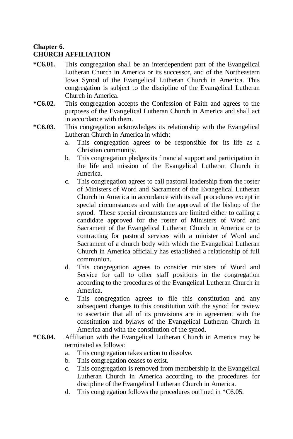#### **Chapter 6. CHURCH AFFILIATION**

- **\*C6.01.** This congregation shall be an interdependent part of the Evangelical Lutheran Church in America or its successor, and of the Northeastern Iowa Synod of the Evangelical Lutheran Church in America. This congregation is subject to the discipline of the Evangelical Lutheran Church in America.
- **\*C6.02.** This congregation accepts the Confession of Faith and agrees to the purposes of the Evangelical Lutheran Church in America and shall act in accordance with them.
- **\*C6.03.** This congregation acknowledges its relationship with the Evangelical Lutheran Church in America in which:
	- a. This congregation agrees to be responsible for its life as a Christian community.
	- b. This congregation pledges its financial support and participation in the life and mission of the Evangelical Lutheran Church in America.
	- c. This congregation agrees to call pastoral leadership from the roster of Ministers of Word and Sacrament of the Evangelical Lutheran Church in America in accordance with its call procedures except in special circumstances and with the approval of the bishop of the synod. These special circumstances are limited either to calling a candidate approved for the roster of Ministers of Word and Sacrament of the Evangelical Lutheran Church in America or to contracting for pastoral services with a minister of Word and Sacrament of a church body with which the Evangelical Lutheran Church in America officially has established a relationship of full communion.
	- d. This congregation agrees to consider ministers of Word and Service for call to other staff positions in the congregation according to the procedures of the Evangelical Lutheran Church in America.
	- e. This congregation agrees to file this constitution and any subsequent changes to this constitution with the synod for review to ascertain that all of its provisions are in agreement with the constitution and bylaws of the Evangelical Lutheran Church in America and with the constitution of the synod.
- **\*C6.04.** Affiliation with the Evangelical Lutheran Church in America may be terminated as follows:
	- a. This congregation takes action to dissolve.
	- b. This congregation ceases to exist.
	- c. This congregation is removed from membership in the Evangelical Lutheran Church in America according to the procedures for discipline of the Evangelical Lutheran Church in America.
	- d. This congregation follows the procedures outlined in \*C6.05.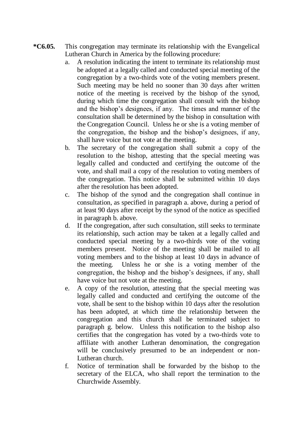- **\*C6.05.** This congregation may terminate its relationship with the Evangelical Lutheran Church in America by the following procedure:
	- a. A resolution indicating the intent to terminate its relationship must be adopted at a legally called and conducted special meeting of the congregation by a two-thirds vote of the voting members present. Such meeting may be held no sooner than 30 days after written notice of the meeting is received by the bishop of the synod, during which time the congregation shall consult with the bishop and the bishop's designees, if any. The times and manner of the consultation shall be determined by the bishop in consultation with the Congregation Council. Unless he or she is a voting member of the congregation, the bishop and the bishop's designees, if any, shall have voice but not vote at the meeting.
	- b. The secretary of the congregation shall submit a copy of the resolution to the bishop, attesting that the special meeting was legally called and conducted and certifying the outcome of the vote, and shall mail a copy of the resolution to voting members of the congregation. This notice shall be submitted within 10 days after the resolution has been adopted.
	- c. The bishop of the synod and the congregation shall continue in consultation, as specified in paragraph a. above, during a period of at least 90 days after receipt by the synod of the notice as specified in paragraph b. above.
	- d. If the congregation, after such consultation, still seeks to terminate its relationship, such action may be taken at a legally called and conducted special meeting by a two-thirds vote of the voting members present. Notice of the meeting shall be mailed to all voting members and to the bishop at least 10 days in advance of the meeting. Unless he or she is a voting member of the congregation, the bishop and the bishop's designees, if any, shall have voice but not vote at the meeting.
	- e. A copy of the resolution, attesting that the special meeting was legally called and conducted and certifying the outcome of the vote, shall be sent to the bishop within 10 days after the resolution has been adopted, at which time the relationship between the congregation and this church shall be terminated subject to paragraph g. below. Unless this notification to the bishop also certifies that the congregation has voted by a two-thirds vote to affiliate with another Lutheran denomination, the congregation will be conclusively presumed to be an independent or non-Lutheran church.
	- f. Notice of termination shall be forwarded by the bishop to the secretary of the ELCA, who shall report the termination to the Churchwide Assembly.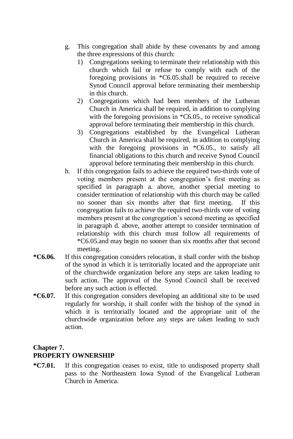- g. This congregation shall abide by these covenants by and among the three expressions of this church:
	- 1) Congregations seeking to terminate their relationship with this church which fail or refuse to comply with each of the foregoing provisions in \*C6.05.shall be required to receive Synod Council approval before terminating their membership in this church.
	- 2) Congregations which had been members of the Lutheran Church in America shall be required, in addition to complying with the foregoing provisions in \*C6.05., to receive synodical approval before terminating their membership in this church.
	- 3) Congregations established by the Evangelical Lutheran Church in America shall be required, in addition to complying with the foregoing provisions in \*C6.05., to satisfy all financial obligations to this church and receive Synod Council approval before terminating their membership in this church.
- h. If this congregation fails to achieve the required two-thirds vote of voting members present at the congregation's first meeting as specified in paragraph a. above, another special meeting to consider termination of relationship with this church may be called no sooner than six months after that first meeting. If this congregation fails to achieve the required two-thirds vote of voting members present at the congregation's second meeting as specified in paragraph d. above, another attempt to consider termination of relationship with this church must follow all requirements of \*C6.05.and may begin no sooner than six months after that second meeting.
- **\*C6.06.** If this congregation considers relocation, it shall confer with the bishop of the synod in which it is territorially located and the appropriate unit of the churchwide organization before any steps are taken leading to such action. The approval of the Synod Council shall be received before any such action is effected.
- **\*C6.07.** If this congregation considers developing an additional site to be used regularly for worship, it shall confer with the bishop of the synod in which it is territorially located and the appropriate unit of the churchwide organization before any steps are taken leading to such action.

#### **Chapter 7. PROPERTY OWNERSHIP**

**\*C7.01.** If this congregation ceases to exist, title to undisposed property shall pass to the Northeastern Iowa Synod of the Evangelical Lutheran Church in America.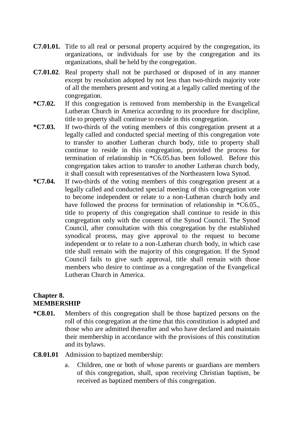- **C7.01.01.** Title to all real or personal property acquired by the congregation, its organizations, or individuals for use by the congregation and its organizations, shall be held by the congregation.
- **C7.01.02**. Real property shall not be purchased or disposed of in any manner except by resolution adopted by not less than two-thirds majority vote of all the members present and voting at a legally called meeting of the congregation.
- **\*C7.02.** If this congregation is removed from membership in the Evangelical Lutheran Church in America according to its procedure for discipline, title to property shall continue to reside in this congregation.
- **\*C7.03.** If two-thirds of the voting members of this congregation present at a legally called and conducted special meeting of this congregation vote to transfer to another Lutheran church body, title to property shall continue to reside in this congregation, provided the process for termination of relationship in \*C6.05.has been followed. Before this congregation takes action to transfer to another Lutheran church body, it shall consult with representatives of the Northeastern Iowa Synod.
- **\*C7.04.** If two-thirds of the voting members of this congregation present at a legally called and conducted special meeting of this congregation vote to become independent or relate to a non-Lutheran church body and have followed the process for termination of relationship in  $*C6.05$ . title to property of this congregation shall continue to reside in this congregation only with the consent of the Synod Council. The Synod Council, after consultation with this congregation by the established synodical process, may give approval to the request to become independent or to relate to a non-Lutheran church body, in which case title shall remain with the majority of this congregation. If the Synod Council fails to give such approval, title shall remain with those members who desire to continue as a congregation of the Evangelical Lutheran Church in America.

#### **Chapter 8. MEMBERSHIP**

- **\*C8.01.** Members of this congregation shall be those baptized persons on the roll of this congregation at the time that this constitution is adopted and those who are admitted thereafter and who have declared and maintain their membership in accordance with the provisions of this constitution and its bylaws.
- **C8.01.01** Admission to baptized membership:
	- a. Children, one or both of whose parents or guardians are members of this congregation, shall, upon receiving Christian baptism, be received as baptized members of this congregation.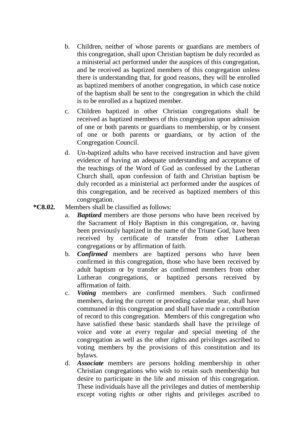- b. Children, neither of whose parents or guardians are members of this congregation, shall upon Christian baptism be duly recorded as a ministerial act performed under the auspices of this congregation, and be received as baptized members of this congregation unless there is understanding that, for good reasons, they will be enrolled as baptized members of another congregation, in which case notice of the baptism shall be sent to the congregation in which the child is to be enrolled as a baptized member.
- c. Children baptized in other Christian congregations shall be received as baptized members of this congregation upon admission of one or both parents or guardians to membership, or by consent of one or both parents or guardians, or by action of the Congregation Council.
- d. Un-baptized adults who have received instruction and have given evidence of having an adequate understanding and acceptance of the teachings of the Word of God as confessed by the Lutheran Church shall, upon confession of faith and Christian baptism be duly recorded as a ministerial act performed under the auspices of this congregation, and be received as baptized members of this congregation.
- **\*C8.02.** Members shall be classified as follows:
	- a. *Baptized* members are those persons who have been received by the Sacrament of Holy Baptism in this congregation, or, having been previously baptized in the name of the Triune God, have been received by certificate of transfer from other Lutheran congregations or by affirmation of faith.
	- b. *Confirmed* members are baptized persons who have been confirmed in this congregation, those who have been received by adult baptism or by transfer as confirmed members from other Lutheran congregations, or baptized persons received by affirmation of faith.
	- c. *Voting* members are confirmed members. Such confirmed members, during the current or preceding calendar year, shall have communed in this congregation and shall have made a contribution of record to this congregation. Members of this congregation who have satisfied these basic standards shall have the privilege of voice and vote at every regular and special meeting of the congregation as well as the other rights and privileges ascribed to voting members by the provisions of this constitution and its bylaws.
	- d. *Associate* members are persons holding membership in other Christian congregations who wish to retain such membership but desire to participate in the life and mission of this congregation. These individuals have all the privileges and duties of membership except voting rights or other rights and privileges ascribed to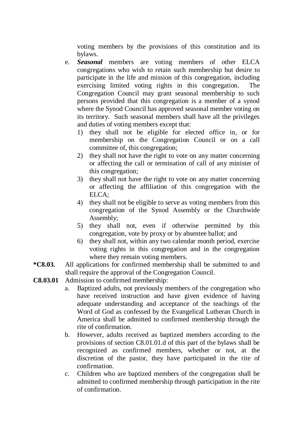voting members by the provisions of this constitution and its bylaws.

- e. *Seasonal* members are voting members of other ELCA congregations who wish to retain such membership but desire to participate in the life and mission of this congregation, including exercising limited voting rights in this congregation. The Congregation Council may grant seasonal membership to such persons provided that this congregation is a member of a synod where the Synod Council has approved seasonal member voting on its territory. Such seasonal members shall have all the privileges and duties of voting members except that:
	- 1) they shall not be eligible for elected office in, or for membership on the Congregation Council or on a call committee of, this congregation;
	- 2) they shall not have the right to vote on any matter concerning or affecting the call or termination of call of any minister of this congregation;
	- 3) they shall not have the right to vote on any matter concerning or affecting the affiliation of this congregation with the ELCA;
	- 4) they shall not be eligible to serve as voting members from this congregation of the Synod Assembly or the Churchwide Assembly;
	- 5) they shall not, even if otherwise permitted by this congregation, vote by proxy or by absentee ballot; and
	- 6) they shall not, within any two calendar month period, exercise voting rights in this congregation and in the congregation where they remain voting members.
- **\*C8.03.** All applications for confirmed membership shall be submitted to and shall require the approval of the Congregation Council.
- **C8.03.01** Admission to confirmed membership:
	- a. Baptized adults, not previously members of the congregation who have received instruction and have given evidence of having adequate understanding and acceptance of the teachings of the Word of God as confessed by the Evangelical Lutheran Church in America shall be admitted to confirmed membership through the rite of confirmation.
	- b. However, adults received as baptized members according to the provisions of section C8.01.01.d of this part of the bylaws shall be recognized as confirmed members, whether or not, at the discretion of the pastor, they have participated in the rite of confirmation.
	- c. Children who are baptized members of the congregation shall be admitted to confirmed membership through participation in the rite of confirmation.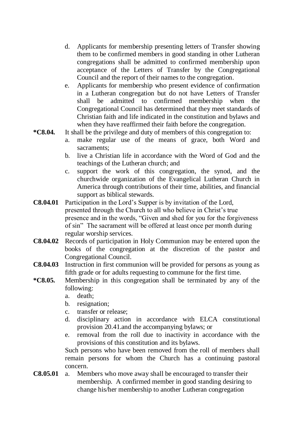- d. Applicants for membership presenting letters of Transfer showing them to be confirmed members in good standing in other Lutheran congregations shall be admitted to confirmed membership upon acceptance of the Letters of Transfer by the Congregational Council and the report of their names to the congregation.
- e. Applicants for membership who present evidence of confirmation in a Lutheran congregation but do not have Letters of Transfer shall be admitted to confirmed membership when the Congregational Council has determined that they meet standards of Christian faith and life indicated in the constitution and bylaws and when they have reaffirmed their faith before the congregation.
- **\*C8.04.** It shall be the privilege and duty of members of this congregation to:
	- a. make regular use of the means of grace, both Word and sacraments;
	- b. live a Christian life in accordance with the Word of God and the teachings of the Lutheran church; and
	- c. support the work of this congregation, the synod, and the churchwide organization of the Evangelical Lutheran Church in America through contributions of their time, abilities, and financial support as biblical stewards.
- **C8.04.01** Participation in the Lord's Supper is by invitation of the Lord, presented through the Church to all who believe in Christ's true presence and in the words, "Given and shed for you for the forgiveness of sin" The sacrament will be offered at least once per month during regular worship services.
- **C8.04.02** Records of participation in Holy Communion may be entered upon the books of the congregation at the discretion of the pastor and Congregational Council.
- **C8.04.03** Instruction in first communion will be provided for persons as young as fifth grade or for adults requesting to commune for the first time.
- **\*C8.05.** Membership in this congregation shall be terminated by any of the following:
	- a. death;
	- b. resignation;
	- c. transfer or release;
	- d. disciplinary action in accordance with ELCA constitutional provision 20.41.and the accompanying bylaws; or
	- e. removal from the roll due to inactivity in accordance with the provisions of this constitution and its bylaws.

Such persons who have been removed from the roll of members shall remain persons for whom the Church has a continuing pastoral concern.

**C8.05.01** a. Members who move away shall be encouraged to transfer their membership. A confirmed member in good standing desiring to change his/her membership to another Lutheran congregation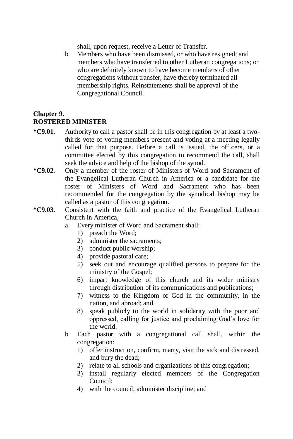shall, upon request, receive a Letter of Transfer.

b. Members who have been dismissed, or who have resigned; and members who have transferred to other Lutheran congregations; or who are definitely known to have become members of other congregations without transfer, have thereby terminated all membership rights. Reinstatements shall be approval of the Congregational Council.

#### **Chapter 9. ROSTERED MINISTER**

- **\*C9.01.** Authority to call a pastor shall be in this congregation by at least a twothirds vote of voting members present and voting at a meeting legally called for that purpose. Before a call is issued, the officers, or a committee elected by this congregation to recommend the call, shall seek the advice and help of the bishop of the synod.
- **\*C9.02.** Only a member of the roster of Ministers of Word and Sacrament of the Evangelical Lutheran Church in America or a candidate for the roster of Ministers of Word and Sacrament who has been recommended for the congregation by the synodical bishop may be called as a pastor of this congregation.
- **\*C9.03.** Consistent with the faith and practice of the Evangelical Lutheran Church in America,
	- a. Every minister of Word and Sacrament shall:
		- 1) preach the Word;
		- 2) administer the sacraments;
		- 3) conduct public worship;
		- 4) provide pastoral care;
		- 5) seek out and encourage qualified persons to prepare for the ministry of the Gospel;
		- 6) impart knowledge of this church and its wider ministry through distribution of its communications and publications;
		- 7) witness to the Kingdom of God in the community, in the nation, and abroad; and
		- 8) speak publicly to the world in solidarity with the poor and oppressed, calling for justice and proclaiming God's love for the world.
	- b. Each pastor with a congregational call shall, within the congregation:
		- 1) offer instruction, confirm, marry, visit the sick and distressed, and bury the dead;
		- 2) relate to all schools and organizations of this congregation;
		- 3) install regularly elected members of the Congregation Council;
		- 4) with the council, administer discipline; and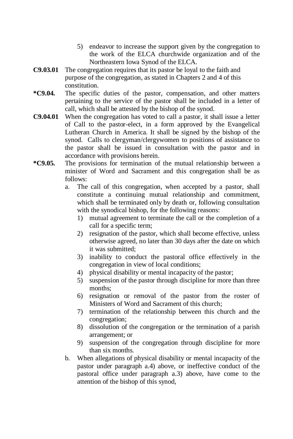- 5) endeavor to increase the support given by the congregation to the work of the ELCA churchwide organization and of the Northeastern Iowa Synod of the ELCA.
- **C9.03.01** The congregation requires that its pastor be loyal to the faith and purpose of the congregation, as stated in Chapters 2 and 4 of this constitution.
- **\*C9.04.** The specific duties of the pastor, compensation, and other matters pertaining to the service of the pastor shall be included in a letter of call, which shall be attested by the bishop of the synod.
- **C9.04.01** When the congregation has voted to call a pastor, it shall issue a letter of Call to the pastor-elect, in a form approved by the Evangelical Lutheran Church in America. It shall be signed by the bishop of the synod. Calls to clergyman/clergywomen to positions of assistance to the pastor shall be issued in consultation with the pastor and in accordance with provisions herein.
- **\*C9.05.** The provisions for termination of the mutual relationship between a minister of Word and Sacrament and this congregation shall be as follows:
	- a. The call of this congregation, when accepted by a pastor, shall constitute a continuing mutual relationship and commitment, which shall be terminated only by death or, following consultation with the synodical bishop, for the following reasons:
		- 1) mutual agreement to terminate the call or the completion of a call for a specific term;
		- 2) resignation of the pastor, which shall become effective, unless otherwise agreed, no later than 30 days after the date on which it was submitted;
		- 3) inability to conduct the pastoral office effectively in the congregation in view of local conditions;
		- 4) physical disability or mental incapacity of the pastor;
		- 5) suspension of the pastor through discipline for more than three months;
		- 6) resignation or removal of the pastor from the roster of Ministers of Word and Sacrament of this church;
		- 7) termination of the relationship between this church and the congregation;
		- 8) dissolution of the congregation or the termination of a parish arrangement; or
		- 9) suspension of the congregation through discipline for more than six months.
	- b. When allegations of physical disability or mental incapacity of the pastor under paragraph a.4) above, or ineffective conduct of the pastoral office under paragraph a.3) above, have come to the attention of the bishop of this synod,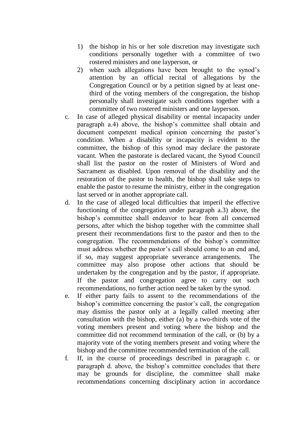- 1) the bishop in his or her sole discretion may investigate such conditions personally together with a committee of two rostered ministers and one layperson, or
- 2) when such allegations have been brought to the synod's attention by an official recital of allegations by the Congregation Council or by a petition signed by at least onethird of the voting members of the congregation, the bishop personally shall investigate such conditions together with a committee of two rostered ministers and one layperson.
- c. In case of alleged physical disability or mental incapacity under paragraph a.4) above, the bishop's committee shall obtain and document competent medical opinion concerning the pastor's condition. When a disability or incapacity is evident to the committee, the bishop of this synod may declare the pastorate vacant. When the pastorate is declared vacant, the Synod Council shall list the pastor on the roster of Ministers of Word and Sacrament as disabled. Upon removal of the disability and the restoration of the pastor to health, the bishop shall take steps to enable the pastor to resume the ministry, either in the congregation last served or in another appropriate call.
- d. In the case of alleged local difficulties that imperil the effective functioning of the congregation under paragraph a.3) above, the bishop's committee shall endeavor to hear from all concerned persons, after which the bishop together with the committee shall present their recommendations first to the pastor and then to the congregation. The recommendations of the bishop's committee must address whether the pastor's call should come to an end and, if so, may suggest appropriate severance arrangements. The committee may also propose other actions that should be undertaken by the congregation and by the pastor, if appropriate. If the pastor and congregation agree to carry out such recommendations, no further action need be taken by the synod.
- e. If either party fails to assent to the recommendations of the bishop's committee concerning the pastor's call, the congregation may dismiss the pastor only at a legally called meeting after consultation with the bishop, either (a) by a two-thirds vote of the voting members present and voting where the bishop and the committee did not recommend termination of the call, or (b) by a majority vote of the voting members present and voting where the bishop and the committee recommended termination of the call.
- f. If, in the course of proceedings described in paragraph c. or paragraph d. above, the bishop's committee concludes that there may be grounds for discipline, the committee shall make recommendations concerning disciplinary action in accordance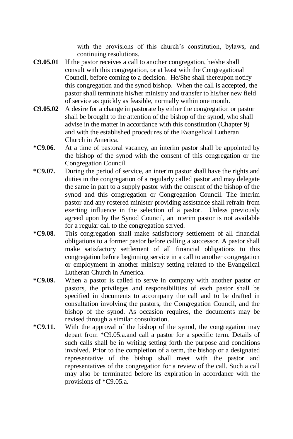with the provisions of this church's constitution, bylaws, and continuing resolutions.

- **C9.05.01** If the pastor receives a call to another congregation, he/she shall consult with this congregation, or at least with the Congregational Council, before coming to a decision. He/She shall thereupon notify this congregation and the synod bishop. When the call is accepted, the pastor shall terminate his/her ministry and transfer to his/her new field of service as quickly as feasible, normally within one month.
- **C9.05.02** A desire for a change in pastorate by either the congregation or pastor shall be brought to the attention of the bishop of the synod, who shall advise in the matter in accordance with this constitution (Chapter 9) and with the established procedures of the Evangelical Lutheran Church in America.
- **\*C9.06.** At a time of pastoral vacancy, an interim pastor shall be appointed by the bishop of the synod with the consent of this congregation or the Congregation Council.
- **\*C9.07.** During the period of service, an interim pastor shall have the rights and duties in the congregation of a regularly called pastor and may delegate the same in part to a supply pastor with the consent of the bishop of the synod and this congregation or Congregation Council. The interim pastor and any rostered minister providing assistance shall refrain from exerting influence in the selection of a pastor. Unless previously agreed upon by the Synod Council, an interim pastor is not available for a regular call to the congregation served.
- **\*C9.08.** This congregation shall make satisfactory settlement of all financial obligations to a former pastor before calling a successor. A pastor shall make satisfactory settlement of all financial obligations to this congregation before beginning service in a call to another congregation or employment in another ministry setting related to the Evangelical Lutheran Church in America.
- **\*C9.09.** When a pastor is called to serve in company with another pastor or pastors, the privileges and responsibilities of each pastor shall be specified in documents to accompany the call and to be drafted in consultation involving the pastors, the Congregation Council, and the bishop of the synod. As occasion requires, the documents may be revised through a similar consultation.
- **\*C9.11.** With the approval of the bishop of the synod, the congregation may depart from \*C9.05.a.and call a pastor for a specific term. Details of such calls shall be in writing setting forth the purpose and conditions involved. Prior to the completion of a term, the bishop or a designated representative of the bishop shall meet with the pastor and representatives of the congregation for a review of the call. Such a call may also be terminated before its expiration in accordance with the provisions of \*C9.05.a.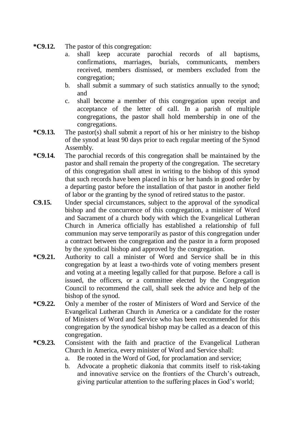- **\*C9.12.** The pastor of this congregation:
	- a. shall keep accurate parochial records of all baptisms, confirmations, marriages, burials, communicants, members received, members dismissed, or members excluded from the congregation;
	- b. shall submit a summary of such statistics annually to the synod; and
	- c. shall become a member of this congregation upon receipt and acceptance of the letter of call. In a parish of multiple congregations, the pastor shall hold membership in one of the congregations.
- **\*C9.13.** The pastor(s) shall submit a report of his or her ministry to the bishop of the synod at least 90 days prior to each regular meeting of the Synod Assembly.
- **\*C9.14.** The parochial records of this congregation shall be maintained by the pastor and shall remain the property of the congregation. The secretary of this congregation shall attest in writing to the bishop of this synod that such records have been placed in his or her hands in good order by a departing pastor before the installation of that pastor in another field of labor or the granting by the synod of retired status to the pastor.
- **C9.15.** Under special circumstances, subject to the approval of the synodical bishop and the concurrence of this congregation, a minister of Word and Sacrament of a church body with which the Evangelical Lutheran Church in America officially has established a relationship of full communion may serve temporarily as pastor of this congregation under a contract between the congregation and the pastor in a form proposed by the synodical bishop and approved by the congregation.
- **\*C9.21.** Authority to call a minister of Word and Service shall be in this congregation by at least a two-thirds vote of voting members present and voting at a meeting legally called for that purpose. Before a call is issued, the officers, or a committee elected by the Congregation Council to recommend the call, shall seek the advice and help of the bishop of the synod.
- **\*C9.22.** Only a member of the roster of Ministers of Word and Service of the Evangelical Lutheran Church in America or a candidate for the roster of Ministers of Word and Service who has been recommended for this congregation by the synodical bishop may be called as a deacon of this congregation.
- **\*C9.23.** Consistent with the faith and practice of the Evangelical Lutheran Church in America, every minister of Word and Service shall:
	- a. Be rooted in the Word of God, for proclamation and service;
	- b. Advocate a prophetic diakonia that commits itself to risk-taking and innovative service on the frontiers of the Church's outreach, giving particular attention to the suffering places in God's world;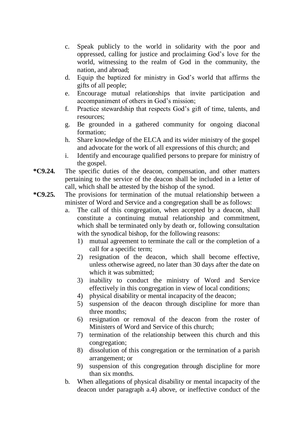- c. Speak publicly to the world in solidarity with the poor and oppressed, calling for justice and proclaiming God's love for the world, witnessing to the realm of God in the community, the nation, and abroad;
- d. Equip the baptized for ministry in God's world that affirms the gifts of all people;
- e. Encourage mutual relationships that invite participation and accompaniment of others in God's mission;
- f. Practice stewardship that respects God's gift of time, talents, and resources;
- g. Be grounded in a gathered community for ongoing diaconal formation;
- h. Share knowledge of the ELCA and its wider ministry of the gospel and advocate for the work of all expressions of this church; and
- i. Identify and encourage qualified persons to prepare for ministry of the gospel.
- **\*C9.24.** The specific duties of the deacon, compensation, and other matters pertaining to the service of the deacon shall be included in a letter of call, which shall be attested by the bishop of the synod.
- **\*C9.25.** The provisions for termination of the mutual relationship between a minister of Word and Service and a congregation shall be as follows:
	- a. The call of this congregation, when accepted by a deacon, shall constitute a continuing mutual relationship and commitment, which shall be terminated only by death or, following consultation with the synodical bishop, for the following reasons:
		- 1) mutual agreement to terminate the call or the completion of a call for a specific term;
		- 2) resignation of the deacon, which shall become effective, unless otherwise agreed, no later than 30 days after the date on which it was submitted;
		- 3) inability to conduct the ministry of Word and Service effectively in this congregation in view of local conditions;
		- 4) physical disability or mental incapacity of the deacon;
		- 5) suspension of the deacon through discipline for more than three months;
		- 6) resignation or removal of the deacon from the roster of Ministers of Word and Service of this church;
		- 7) termination of the relationship between this church and this congregation;
		- 8) dissolution of this congregation or the termination of a parish arrangement; or
		- 9) suspension of this congregation through discipline for more than six months.
	- b. When allegations of physical disability or mental incapacity of the deacon under paragraph a.4) above, or ineffective conduct of the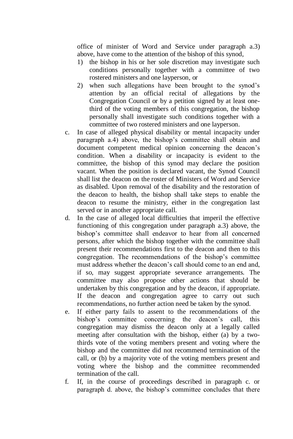office of minister of Word and Service under paragraph a.3) above, have come to the attention of the bishop of this synod,

- 1) the bishop in his or her sole discretion may investigate such conditions personally together with a committee of two rostered ministers and one layperson, or
- 2) when such allegations have been brought to the synod's attention by an official recital of allegations by the Congregation Council or by a petition signed by at least onethird of the voting members of this congregation, the bishop personally shall investigate such conditions together with a committee of two rostered ministers and one layperson.
- c. In case of alleged physical disability or mental incapacity under paragraph a.4) above, the bishop's committee shall obtain and document competent medical opinion concerning the deacon's condition. When a disability or incapacity is evident to the committee, the bishop of this synod may declare the position vacant. When the position is declared vacant, the Synod Council shall list the deacon on the roster of Ministers of Word and Service as disabled. Upon removal of the disability and the restoration of the deacon to health, the bishop shall take steps to enable the deacon to resume the ministry, either in the congregation last served or in another appropriate call.
- d. In the case of alleged local difficulties that imperil the effective functioning of this congregation under paragraph a.3) above, the bishop's committee shall endeavor to hear from all concerned persons, after which the bishop together with the committee shall present their recommendations first to the deacon and then to this congregation. The recommendations of the bishop's committee must address whether the deacon's call should come to an end and, if so, may suggest appropriate severance arrangements. The committee may also propose other actions that should be undertaken by this congregation and by the deacon, if appropriate. If the deacon and congregation agree to carry out such recommendations, no further action need be taken by the synod.
- e. If either party fails to assent to the recommendations of the bishop's committee concerning the deacon's call, this congregation may dismiss the deacon only at a legally called meeting after consultation with the bishop, either (a) by a twothirds vote of the voting members present and voting where the bishop and the committee did not recommend termination of the call, or (b) by a majority vote of the voting members present and voting where the bishop and the committee recommended termination of the call.
- f. If, in the course of proceedings described in paragraph c. or paragraph d. above, the bishop's committee concludes that there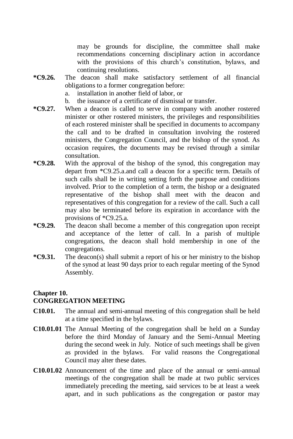may be grounds for discipline, the committee shall make recommendations concerning disciplinary action in accordance with the provisions of this church's constitution, bylaws, and continuing resolutions.

- **\*C9.26.** The deacon shall make satisfactory settlement of all financial obligations to a former congregation before:
	- a. installation in another field of labor, or
	- b. the issuance of a certificate of dismissal or transfer.
- **\*C9.27.** When a deacon is called to serve in company with another rostered minister or other rostered ministers, the privileges and responsibilities of each rostered minister shall be specified in documents to accompany the call and to be drafted in consultation involving the rostered ministers, the Congregation Council, and the bishop of the synod. As occasion requires, the documents may be revised through a similar consultation.
- **\*C9.28.** With the approval of the bishop of the synod, this congregation may depart from \*C9.25.a.and call a deacon for a specific term. Details of such calls shall be in writing setting forth the purpose and conditions involved. Prior to the completion of a term, the bishop or a designated representative of the bishop shall meet with the deacon and representatives of this congregation for a review of the call. Such a call may also be terminated before its expiration in accordance with the provisions of \*C9.25.a.
- **\*C9.29.** The deacon shall become a member of this congregation upon receipt and acceptance of the letter of call. In a parish of multiple congregations, the deacon shall hold membership in one of the congregations.
- **\*C9.31.** The deacon(s) shall submit a report of his or her ministry to the bishop of the synod at least 90 days prior to each regular meeting of the Synod Assembly.

#### **Chapter 10.**

#### **CONGREGATION MEETING**

- **C10.01.** The annual and semi-annual meeting of this congregation shall be held at a time specified in the bylaws.
- **C10.01.01** The Annual Meeting of the congregation shall be held on a Sunday before the third Monday of January and the Semi-Annual Meeting during the second week in July. Notice of such meetings shall be given as provided in the bylaws. For valid reasons the Congregational Council may alter these dates.
- **C10.01.02** Announcement of the time and place of the annual or semi-annual meetings of the congregation shall be made at two public services immediately preceding the meeting, said services to be at least a week apart, and in such publications as the congregation or pastor may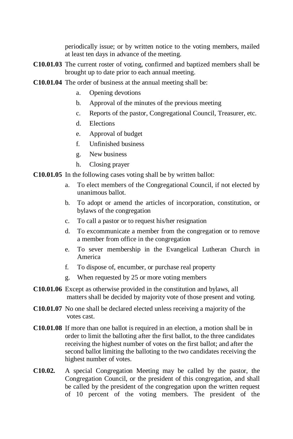periodically issue; or by written notice to the voting members, mailed at least ten days in advance of the meeting.

- **C10.01.03** The current roster of voting, confirmed and baptized members shall be brought up to date prior to each annual meeting.
- **C10.01.04** The order of business at the annual meeting shall be:
	- a. Opening devotions
	- b. Approval of the minutes of the previous meeting
	- c. Reports of the pastor, Congregational Council, Treasurer, etc.
	- d. Elections
	- e. Approval of budget
	- f. Unfinished business
	- g. New business
	- h. Closing prayer

**C10.01.05** In the following cases voting shall be by written ballot:

- a. To elect members of the Congregational Council, if not elected by unanimous ballot.
- b. To adopt or amend the articles of incorporation, constitution, or bylaws of the congregation
- c. To call a pastor or to request his/her resignation
- d. To excommunicate a member from the congregation or to remove a member from office in the congregation
- e. To sever membership in the Evangelical Lutheran Church in America
- f. To dispose of, encumber, or purchase real property
- g. When requested by 25 or more voting members
- **C10.01.06** Except as otherwise provided in the constitution and bylaws, all matters shall be decided by majority vote of those present and voting.
- **C10.01.07** No one shall be declared elected unless receiving a majority of the votes cast.
- **C10.01.08** If more than one ballot is required in an election, a motion shall be in order to limit the balloting after the first ballot, to the three candidates receiving the highest number of votes on the first ballot; and after the second ballot limiting the balloting to the two candidates receiving the highest number of votes.
- **C10.02.** A special Congregation Meeting may be called by the pastor, the Congregation Council, or the president of this congregation, and shall be called by the president of the congregation upon the written request of 10 percent of the voting members. The president of the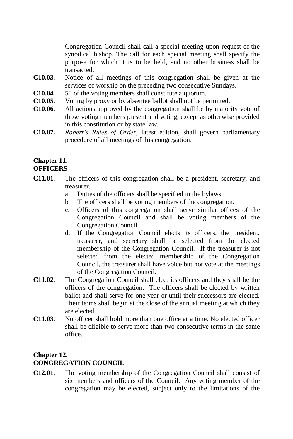Congregation Council shall call a special meeting upon request of the synodical bishop. The call for each special meeting shall specify the purpose for which it is to be held, and no other business shall be transacted.

- **C10.03.** Notice of all meetings of this congregation shall be given at the services of worship on the preceding two consecutive Sundays.
- **C10.04.** 50 of the voting members shall constitute a quorum.
- **C10.05.** Voting by proxy or by absentee ballot shall not be permitted.
- **C10.06.** All actions approved by the congregation shall be by majority vote of those voting members present and voting, except as otherwise provided in this constitution or by state law.
- **C10.07.** *Robert's Rules of Order*, latest edition, shall govern parliamentary procedure of all meetings of this congregation.

#### **Chapter 11. OFFICERS**

- **C11.01.** The officers of this congregation shall be a president, secretary, and treasurer.
	- a. Duties of the officers shall be specified in the bylaws.
	- b. The officers shall be voting members of the congregation.
	- c. Officers of this congregation shall serve similar offices of the Congregation Council and shall be voting members of the Congregation Council.
	- d. If the Congregation Council elects its officers, the president, treasurer, and secretary shall be selected from the elected membership of the Congregation Council. If the treasurer is not selected from the elected membership of the Congregation Council, the treasurer shall have voice but not vote at the meetings of the Congregation Council.
- **C11.02.** The Congregation Council shall elect its officers and they shall be the officers of the congregation. The officers shall be elected by written ballot and shall serve for one year or until their successors are elected. Their terms shall begin at the close of the annual meeting at which they are elected.
- **C11.03.** No officer shall hold more than one office at a time. No elected officer shall be eligible to serve more than two consecutive terms in the same office.

#### **Chapter 12. CONGREGATION COUNCIL**

**C12.01.** The voting membership of the Congregation Council shall consist of six members and officers of the Council. Any voting member of the congregation may be elected, subject only to the limitations of the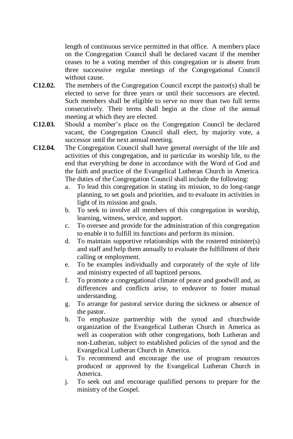length of continuous service permitted in that office. A members place on the Congregation Council shall be declared vacant if the member ceases to be a voting member of this congregation or is absent from three successive regular meetings of the Congregational Council without cause.

- **C12.02.** The members of the Congregation Council except the pastor(s) shall be elected to serve for three years or until their successors are elected. Such members shall be eligible to serve no more than two full terms consecutively. Their terms shall begin at the close of the annual meeting at which they are elected.
- **C12.03.** Should a member's place on the Congregation Council be declared vacant, the Congregation Council shall elect, by majority vote, a successor until the next annual meeting.
- **C12.04.** The Congregation Council shall have general oversight of the life and activities of this congregation, and in particular its worship life, to the end that everything be done in accordance with the Word of God and the faith and practice of the Evangelical Lutheran Church in America. The duties of the Congregation Council shall include the following:
	- a. To lead this congregation in stating its mission, to do long-range planning, to set goals and priorities, and to evaluate its activities in light of its mission and goals.
	- b. To seek to involve all members of this congregation in worship, learning, witness, service, and support.
	- c. To oversee and provide for the administration of this congregation to enable it to fulfill its functions and perform its mission.
	- d. To maintain supportive relationships with the rostered minister(s) and staff and help them annually to evaluate the fulfillment of their calling or employment.
	- e. To be examples individually and corporately of the style of life and ministry expected of all baptized persons.
	- f. To promote a congregational climate of peace and goodwill and, as differences and conflicts arise, to endeavor to foster mutual understanding.
	- g. To arrange for pastoral service during the sickness or absence of the pastor.
	- h. To emphasize partnership with the synod and churchwide organization of the Evangelical Lutheran Church in America as well as cooperation with other congregations, both Lutheran and non-Lutheran, subject to established policies of the synod and the Evangelical Lutheran Church in America.
	- i. To recommend and encourage the use of program resources produced or approved by the Evangelical Lutheran Church in America.
	- j. To seek out and encourage qualified persons to prepare for the ministry of the Gospel.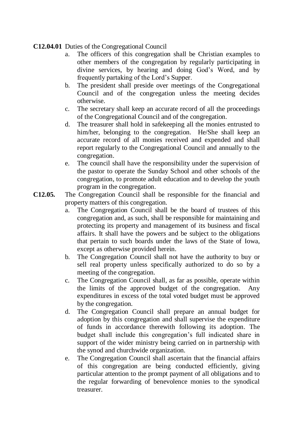#### **C12.04.01** Duties of the Congregational Council

- a. The officers of this congregation shall be Christian examples to other members of the congregation by regularly participating in divine services, by hearing and doing God's Word, and by frequently partaking of the Lord's Supper.
- b. The president shall preside over meetings of the Congregational Council and of the congregation unless the meeting decides otherwise.
- c. The secretary shall keep an accurate record of all the proceedings of the Congregational Council and of the congregation.
- d. The treasurer shall hold in safekeeping all the monies entrusted to him/her, belonging to the congregation. He/She shall keep an accurate record of all monies received and expended and shall report regularly to the Congregational Council and annually to the congregation.
- e. The council shall have the responsibility under the supervision of the pastor to operate the Sunday School and other schools of the congregation, to promote adult education and to develop the youth program in the congregation.
- **C12.05.** The Congregation Council shall be responsible for the financial and property matters of this congregation.
	- a. The Congregation Council shall be the board of trustees of this congregation and, as such, shall be responsible for maintaining and protecting its property and management of its business and fiscal affairs. It shall have the powers and be subject to the obligations that pertain to such boards under the laws of the State of Iowa, except as otherwise provided herein.
	- b. The Congregation Council shall not have the authority to buy or sell real property unless specifically authorized to do so by a meeting of the congregation.
	- c. The Congregation Council shall, as far as possible, operate within the limits of the approved budget of the congregation. Any expenditures in excess of the total voted budget must be approved by the congregation.
	- d. The Congregation Council shall prepare an annual budget for adoption by this congregation and shall supervise the expenditure of funds in accordance therewith following its adoption. The budget shall include this congregation's full indicated share in support of the wider ministry being carried on in partnership with the synod and churchwide organization.
	- e. The Congregation Council shall ascertain that the financial affairs of this congregation are being conducted efficiently, giving particular attention to the prompt payment of all obligations and to the regular forwarding of benevolence monies to the synodical treasurer.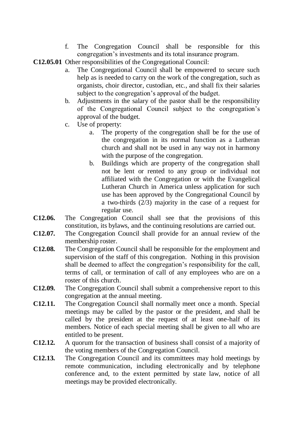- f. The Congregation Council shall be responsible for this congregation's investments and its total insurance program.
- **C12.05.01** Other responsibilities of the Congregational Council:
	- a. The Congregational Council shall be empowered to secure such help as is needed to carry on the work of the congregation, such as organists, choir director, custodian, etc., and shall fix their salaries subject to the congregation's approval of the budget.
	- b. Adjustments in the salary of the pastor shall be the responsibility of the Congregational Council subject to the congregation's approval of the budget.
	- c. Use of property:
		- a. The property of the congregation shall be for the use of the congregation in its normal function as a Lutheran church and shall not be used in any way not in harmony with the purpose of the congregation.
		- b. Buildings which are property of the congregation shall not be lent or rented to any group or individual not affiliated with the Congregation or with the Evangelical Lutheran Church in America unless application for such use has been approved by the Congregational Council by a two-thirds (2/3) majority in the case of a request for regular use.
- **C12.06.** The Congregation Council shall see that the provisions of this constitution, its bylaws, and the continuing resolutions are carried out.
- **C12.07.** The Congregation Council shall provide for an annual review of the membership roster.
- **C12.08.** The Congregation Council shall be responsible for the employment and supervision of the staff of this congregation. Nothing in this provision shall be deemed to affect the congregation's responsibility for the call, terms of call, or termination of call of any employees who are on a roster of this church.
- **C12.09.** The Congregation Council shall submit a comprehensive report to this congregation at the annual meeting.
- **C12.11.** The Congregation Council shall normally meet once a month. Special meetings may be called by the pastor or the president, and shall be called by the president at the request of at least one-half of its members. Notice of each special meeting shall be given to all who are entitled to be present.
- **C12.12.** A quorum for the transaction of business shall consist of a majority of the voting members of the Congregation Council.
- **C12.13.** The Congregation Council and its committees may hold meetings by remote communication, including electronically and by telephone conference and, to the extent permitted by state law, notice of all meetings may be provided electronically.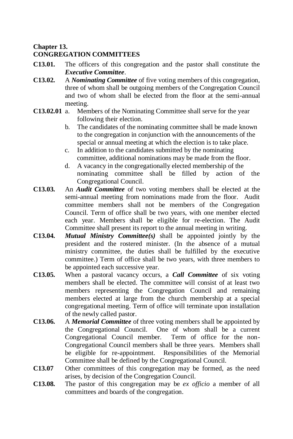#### **Chapter 13.**

#### **CONGREGATION COMMITTEES**

- **C13.01.** The officers of this congregation and the pastor shall constitute the *Executive Committee*.
- **C13.02.** A *Nominating Committee* of five voting members of this congregation, three of whom shall be outgoing members of the Congregation Council and two of whom shall be elected from the floor at the semi-annual meeting.
- **C13.02.01** a. Members of the Nominating Committee shall serve for the year following their election.
	- b. The candidates of the nominating committee shall be made known to the congregation in conjunction with the announcements of the special or annual meeting at which the election is to take place.
	- c. In addition to the candidates submitted by the nominating committee, additional nominations may be made from the floor.
	- d. A vacancy in the congregationally elected membership of the nominating committee shall be filled by action of the Congregational Council.
- **C13.03.** An *Audit Committee* of two voting members shall be elected at the semi-annual meeting from nominations made from the floor. Audit committee members shall not be members of the Congregation Council. Term of office shall be two years, with one member elected each year. Members shall be eligible for re-election. The Audit Committee shall present its report to the annual meeting in writing.
- **C13.04.** *Mutual Ministry Committee(s)* shall be appointed jointly by the president and the rostered minister. (In the absence of a mutual ministry committee, the duties shall be fulfilled by the executive committee.) Term of office shall be two years, with three members to be appointed each successive year.
- **C13.05.** When a pastoral vacancy occurs, a *Call Committee* of six voting members shall be elected. The committee will consist of at least two members representing the Congregation Council and remaining members elected at large from the church membership at a special congregational meeting. Term of office will terminate upon installation of the newly called pastor.
- **C13.06.** A *Memorial Committee* of three voting members shall be appointed by the Congregational Council. One of whom shall be a current Congregational Council member. Term of office for the non-Congregational Council members shall be three years. Members shall be eligible for re-appointment. Responsibilities of the Memorial Committee shall be defined by the Congregational Council.
- **C13.07** Other committees of this congregation may be formed, as the need arises, by decision of the Congregation Council.
- **C13.08.** The pastor of this congregation may be *ex officio* a member of all committees and boards of the congregation.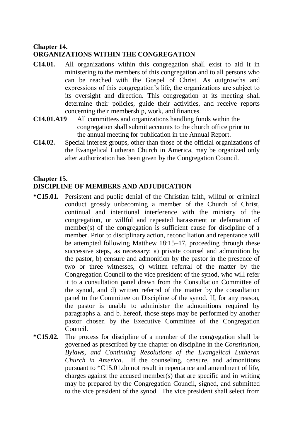#### **Chapter 14. ORGANIZATIONS WITHIN THE CONGREGATION**

- **C14.01.** All organizations within this congregation shall exist to aid it in ministering to the members of this congregation and to all persons who can be reached with the Gospel of Christ. As outgrowths and expressions of this congregation's life, the organizations are subject to its oversight and direction. This congregation at its meeting shall determine their policies, guide their activities, and receive reports concerning their membership, work, and finances.
- **C14.01.A19** All committees and organizations handling funds within the congregation shall submit accounts to the church office prior to the annual meeting for publication in the Annual Report.
- **C14.02.** Special interest groups, other than those of the official organizations of the Evangelical Lutheran Church in America, may be organized only after authorization has been given by the Congregation Council.

#### **Chapter 15. DISCIPLINE OF MEMBERS AND ADJUDICATION**

- **\*C15.01.** Persistent and public denial of the Christian faith, willful or criminal conduct grossly unbecoming a member of the Church of Christ, continual and intentional interference with the ministry of the congregation, or willful and repeated harassment or defamation of member(s) of the congregation is sufficient cause for discipline of a member. Prior to disciplinary action, reconciliation and repentance will be attempted following Matthew 18:15–17, proceeding through these successive steps, as necessary: a) private counsel and admonition by the pastor, b) censure and admonition by the pastor in the presence of two or three witnesses, c) written referral of the matter by the Congregation Council to the vice president of the synod, who will refer it to a consultation panel drawn from the Consultation Committee of the synod, and d) written referral of the matter by the consultation panel to the Committee on Discipline of the synod. If, for any reason, the pastor is unable to administer the admonitions required by paragraphs a. and b. hereof, those steps may be performed by another pastor chosen by the Executive Committee of the Congregation Council.
- **\*C15.02.** The process for discipline of a member of the congregation shall be governed as prescribed by the chapter on discipline in the *Constitution, Bylaws, and Continuing Resolutions of the Evangelical Lutheran Church in America*. If the counseling, censure, and admonitions pursuant to \*C15.01.do not result in repentance and amendment of life, charges against the accused member(s) that are specific and in writing may be prepared by the Congregation Council, signed, and submitted to the vice president of the synod. The vice president shall select from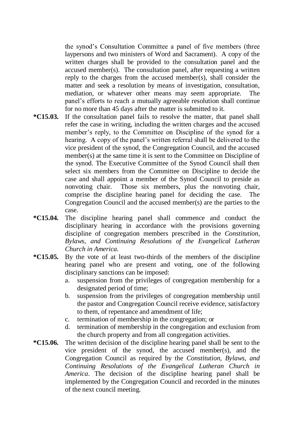the synod's Consultation Committee a panel of five members (three laypersons and two ministers of Word and Sacrament). A copy of the written charges shall be provided to the consultation panel and the accused member(s). The consultation panel, after requesting a written reply to the charges from the accused member(s), shall consider the matter and seek a resolution by means of investigation, consultation, mediation, or whatever other means may seem appropriate. The panel's efforts to reach a mutually agreeable resolution shall continue for no more than 45 days after the matter is submitted to it.

- **\*C15.03.** If the consultation panel fails to resolve the matter, that panel shall refer the case in writing, including the written charges and the accused member's reply, to the Committee on Discipline of the synod for a hearing. A copy of the panel's written referral shall be delivered to the vice president of the synod, the Congregation Council, and the accused member(s) at the same time it is sent to the Committee on Discipline of the synod. The Executive Committee of the Synod Council shall then select six members from the Committee on Discipline to decide the case and shall appoint a member of the Synod Council to preside as nonvoting chair. Those six members, plus the nonvoting chair, comprise the discipline hearing panel for deciding the case. Congregation Council and the accused member(s) are the parties to the case.
- **\*C15.04.** The discipline hearing panel shall commence and conduct the disciplinary hearing in accordance with the provisions governing discipline of congregation members prescribed in the *Constitution, Bylaws, and Continuing Resolutions of the Evangelical Lutheran Church in America.*
- **\*C15.05.** By the vote of at least two-thirds of the members of the discipline hearing panel who are present and voting, one of the following disciplinary sanctions can be imposed:
	- a. suspension from the privileges of congregation membership for a designated period of time;
	- b. suspension from the privileges of congregation membership until the pastor and Congregation Council receive evidence, satisfactory to them, of repentance and amendment of life;
	- c. termination of membership in the congregation; or
	- d. termination of membership in the congregation and exclusion from the church property and from all congregation activities.
- **\*C15.06.** The written decision of the discipline hearing panel shall be sent to the vice president of the synod, the accused member(s), and the Congregation Council as required by the *Constitution, Bylaws, and Continuing Resolutions of the Evangelical Lutheran Church in America*. The decision of the discipline hearing panel shall be implemented by the Congregation Council and recorded in the minutes of the next council meeting.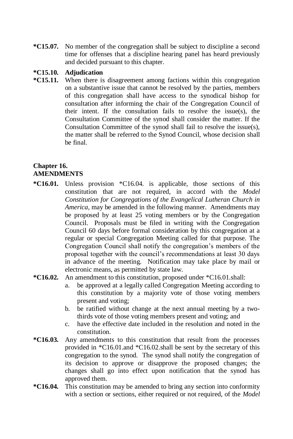**\*C15.07.** No member of the congregation shall be subject to discipline a second time for offenses that a discipline hearing panel has heard previously and decided pursuant to this chapter.

#### **\*C15.10. Adjudication**

**\*C15.11.** When there is disagreement among factions within this congregation on a substantive issue that cannot be resolved by the parties, members of this congregation shall have access to the synodical bishop for consultation after informing the chair of the Congregation Council of their intent. If the consultation fails to resolve the issue(s), the Consultation Committee of the synod shall consider the matter. If the Consultation Committee of the synod shall fail to resolve the issue(s), the matter shall be referred to the Synod Council, whose decision shall be final.

#### **Chapter 16. AMENDMENTS**

- **\*C16.01.** Unless provision \*C16.04. is applicable, those sections of this constitution that are not required, in accord with the *Model Constitution for Congregations of the Evangelical Lutheran Church in America*, may be amended in the following manner. Amendments may be proposed by at least 25 voting members or by the Congregation Council. Proposals must be filed in writing with the Congregation Council 60 days before formal consideration by this congregation at a regular or special Congregation Meeting called for that purpose. The Congregation Council shall notify the congregation's members of the proposal together with the council's recommendations at least 30 days in advance of the meeting. Notification may take place by mail or electronic means, as permitted by state law.
- **\*C16.02.** An amendment to this constitution, proposed under \*C16.01.shall:
	- a. be approved at a legally called Congregation Meeting according to this constitution by a majority vote of those voting members present and voting;
	- b. be ratified without change at the next annual meeting by a twothirds vote of those voting members present and voting; and
	- c. have the effective date included in the resolution and noted in the constitution.
- **\*C16.03.** Any amendments to this constitution that result from the processes provided in \*C16.01.and \*C16.02.shall be sent by the secretary of this congregation to the synod. The synod shall notify the congregation of its decision to approve or disapprove the proposed changes; the changes shall go into effect upon notification that the synod has approved them.
- **\*C16.04.** This constitution may be amended to bring any section into conformity with a section or sections, either required or not required, of the *Model*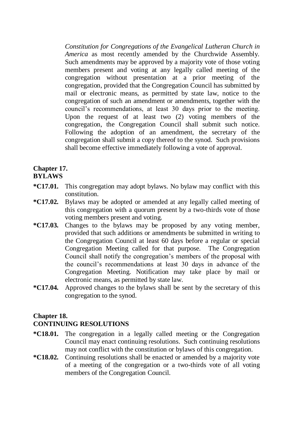*Constitution for Congregations of the Evangelical Lutheran Church in America* as most recently amended by the Churchwide Assembly. Such amendments may be approved by a majority vote of those voting members present and voting at any legally called meeting of the congregation without presentation at a prior meeting of the congregation, provided that the Congregation Council has submitted by mail or electronic means, as permitted by state law, notice to the congregation of such an amendment or amendments, together with the council's recommendations, at least 30 days prior to the meeting. Upon the request of at least two (2) voting members of the congregation, the Congregation Council shall submit such notice. Following the adoption of an amendment, the secretary of the congregation shall submit a copy thereof to the synod. Such provisions shall become effective immediately following a vote of approval.

#### **Chapter 17. BYLAWS**

- **\*C17.01.** This congregation may adopt bylaws. No bylaw may conflict with this constitution.
- **\*C17.02.** Bylaws may be adopted or amended at any legally called meeting of this congregation with a quorum present by a two-thirds vote of those voting members present and voting.
- **\*C17.03.** Changes to the bylaws may be proposed by any voting member, provided that such additions or amendments be submitted in writing to the Congregation Council at least 60 days before a regular or special Congregation Meeting called for that purpose. The Congregation Council shall notify the congregation's members of the proposal with the council's recommendations at least 30 days in advance of the Congregation Meeting. Notification may take place by mail or electronic means, as permitted by state law.
- **\*C17.04.** Approved changes to the bylaws shall be sent by the secretary of this congregation to the synod.

#### **Chapter 18.**

#### **CONTINUING RESOLUTIONS**

- **\*C18.01.** The congregation in a legally called meeting or the Congregation Council may enact continuing resolutions. Such continuing resolutions may not conflict with the constitution or bylaws of this congregation.
- **\*C18.02.** Continuing resolutions shall be enacted or amended by a majority vote of a meeting of the congregation or a two-thirds vote of all voting members of the Congregation Council.